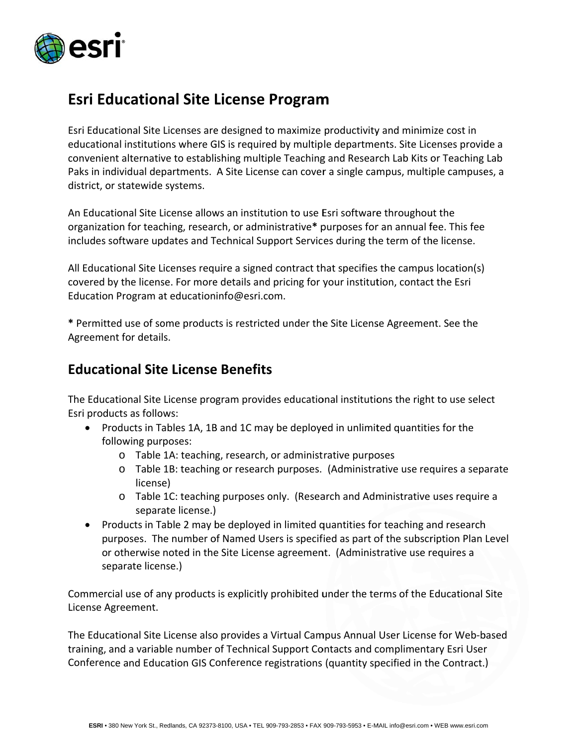

## **Esri Educational Site License Program**

Esri Educational Site Licenses are designed to maximize productivity and minimize cost in educational institutions where GIS is required by multiple departments. Site Licenses provide a convenient alternative to establishing multiple Teaching and Research Lab Kits or Teaching Lab Paks in individual departments. A Site License can cover a single campus, multiple campuses, a district, or statewide systems.

An Educational Site License allows an institution to use Esri software throughout the organization for teaching, research, or administrative\* purposes for an annual fee. This fee includes software updates and Technical Support Services during the term of the license.

All Educational Site Licenses require a signed contract that specifies the campus location(s) covered by the license. For more details and pricing for your institution, contact the Esri Education Program at educationinfo@esri.com.

\* Permitted use of some products is restricted under the Site License Agreement. See the Agreement for details.

#### **Educational Site License Benefits**

The Educational Site License program provides educational institutions the right to use select Esri products as follows:

- Products in Tables 1A, 1B and 1C may be deployed in unlimited quantities for the following purposes:
	- o Table 1A: teaching, research, or administrative purposes
	- o Table 1B: teaching or research purposes. (Administrative use requires a separate license)
	- o Table 1C: teaching purposes only. (Research and Administrative uses require a separate license.)
- Products in Table 2 may be deployed in limited quantities for teaching and research purposes. The number of Named Users is specified as part of the subscription Plan Level or otherwise noted in the Site License agreement. (Administrative use requires a separate license.)

Commercial use of any products is explicitly prohibited under the terms of the Educational Site License Agreement.

The Educational Site License also provides a Virtual Campus Annual User License for Web-based training, and a variable number of Technical Support Contacts and complimentary Esri User Conference and Education GIS Conference registrations (quantity specified in the Contract.)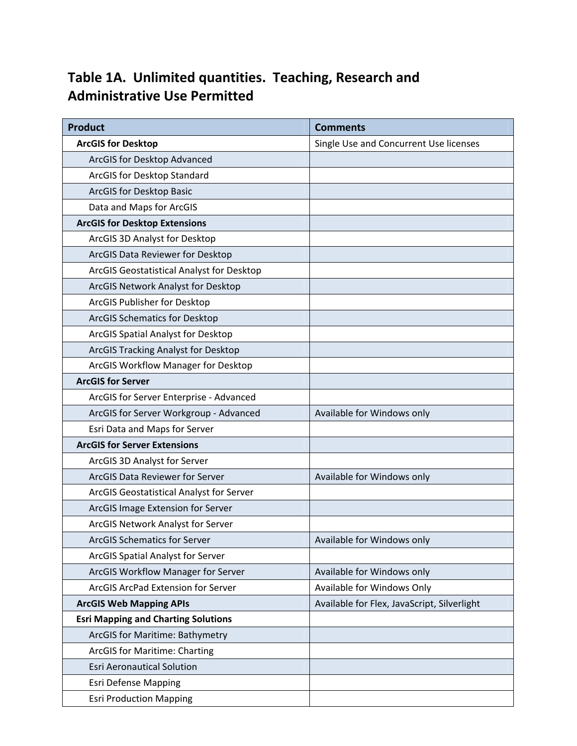## **Table 1A. Unlimited quantities. Teaching, Research and Administrative Use Permitted**

| <b>Product</b>                             | <b>Comments</b>                             |
|--------------------------------------------|---------------------------------------------|
| <b>ArcGIS for Desktop</b>                  | Single Use and Concurrent Use licenses      |
| ArcGIS for Desktop Advanced                |                                             |
| ArcGIS for Desktop Standard                |                                             |
| ArcGIS for Desktop Basic                   |                                             |
| Data and Maps for ArcGIS                   |                                             |
| <b>ArcGIS for Desktop Extensions</b>       |                                             |
| ArcGIS 3D Analyst for Desktop              |                                             |
| ArcGIS Data Reviewer for Desktop           |                                             |
| ArcGIS Geostatistical Analyst for Desktop  |                                             |
| ArcGIS Network Analyst for Desktop         |                                             |
| ArcGIS Publisher for Desktop               |                                             |
| <b>ArcGIS Schematics for Desktop</b>       |                                             |
| ArcGIS Spatial Analyst for Desktop         |                                             |
| ArcGIS Tracking Analyst for Desktop        |                                             |
| ArcGIS Workflow Manager for Desktop        |                                             |
| <b>ArcGIS for Server</b>                   |                                             |
| ArcGIS for Server Enterprise - Advanced    |                                             |
| ArcGIS for Server Workgroup - Advanced     | Available for Windows only                  |
| Esri Data and Maps for Server              |                                             |
| <b>ArcGIS for Server Extensions</b>        |                                             |
| ArcGIS 3D Analyst for Server               |                                             |
| ArcGIS Data Reviewer for Server            | Available for Windows only                  |
| ArcGIS Geostatistical Analyst for Server   |                                             |
| ArcGIS Image Extension for Server          |                                             |
| ArcGIS Network Analyst for Server          |                                             |
| <b>ArcGIS Schematics for Server</b>        | Available for Windows only                  |
| ArcGIS Spatial Analyst for Server          |                                             |
| ArcGIS Workflow Manager for Server         | Available for Windows only                  |
| ArcGIS ArcPad Extension for Server         | Available for Windows Only                  |
| <b>ArcGIS Web Mapping APIs</b>             | Available for Flex, JavaScript, Silverlight |
| <b>Esri Mapping and Charting Solutions</b> |                                             |
| ArcGIS for Maritime: Bathymetry            |                                             |
| <b>ArcGIS for Maritime: Charting</b>       |                                             |
| <b>Esri Aeronautical Solution</b>          |                                             |
| <b>Esri Defense Mapping</b>                |                                             |
| <b>Esri Production Mapping</b>             |                                             |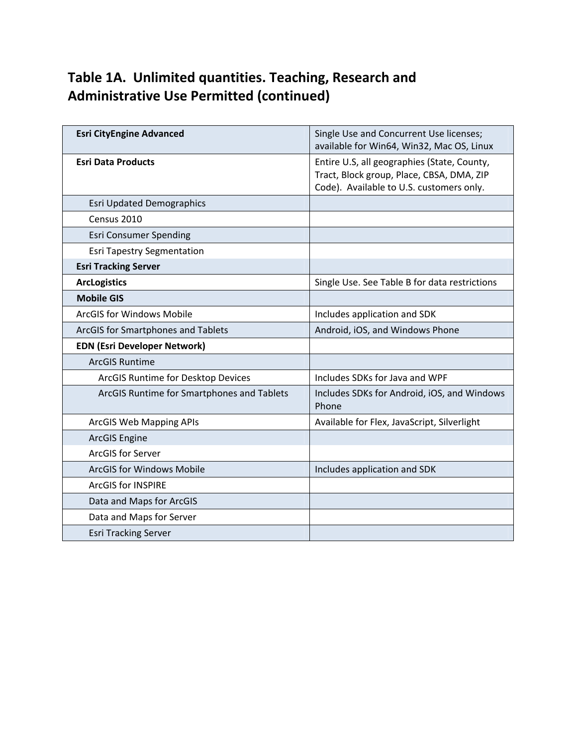# **Table 1A. Unlimited quantities. Teaching, Research and Administrative Use Permitted (continued)**

| <b>Esri CityEngine Advanced</b>            | Single Use and Concurrent Use licenses;<br>available for Win64, Win32, Mac OS, Linux                                                 |
|--------------------------------------------|--------------------------------------------------------------------------------------------------------------------------------------|
| <b>Esri Data Products</b>                  | Entire U.S, all geographies (State, County,<br>Tract, Block group, Place, CBSA, DMA, ZIP<br>Code). Available to U.S. customers only. |
| <b>Esri Updated Demographics</b>           |                                                                                                                                      |
| Census 2010                                |                                                                                                                                      |
| <b>Esri Consumer Spending</b>              |                                                                                                                                      |
| <b>Esri Tapestry Segmentation</b>          |                                                                                                                                      |
| <b>Esri Tracking Server</b>                |                                                                                                                                      |
| <b>ArcLogistics</b>                        | Single Use. See Table B for data restrictions                                                                                        |
| <b>Mobile GIS</b>                          |                                                                                                                                      |
| <b>ArcGIS for Windows Mobile</b>           | Includes application and SDK                                                                                                         |
| ArcGIS for Smartphones and Tablets         | Android, iOS, and Windows Phone                                                                                                      |
| <b>EDN (Esri Developer Network)</b>        |                                                                                                                                      |
| <b>ArcGIS Runtime</b>                      |                                                                                                                                      |
| ArcGIS Runtime for Desktop Devices         | Includes SDKs for Java and WPF                                                                                                       |
| ArcGIS Runtime for Smartphones and Tablets | Includes SDKs for Android, iOS, and Windows<br>Phone                                                                                 |
| <b>ArcGIS Web Mapping APIs</b>             | Available for Flex, JavaScript, Silverlight                                                                                          |
| <b>ArcGIS Engine</b>                       |                                                                                                                                      |
| <b>ArcGIS for Server</b>                   |                                                                                                                                      |
| <b>ArcGIS for Windows Mobile</b>           | Includes application and SDK                                                                                                         |
| <b>ArcGIS for INSPIRE</b>                  |                                                                                                                                      |
| Data and Maps for ArcGIS                   |                                                                                                                                      |
| Data and Maps for Server                   |                                                                                                                                      |
| <b>Esri Tracking Server</b>                |                                                                                                                                      |